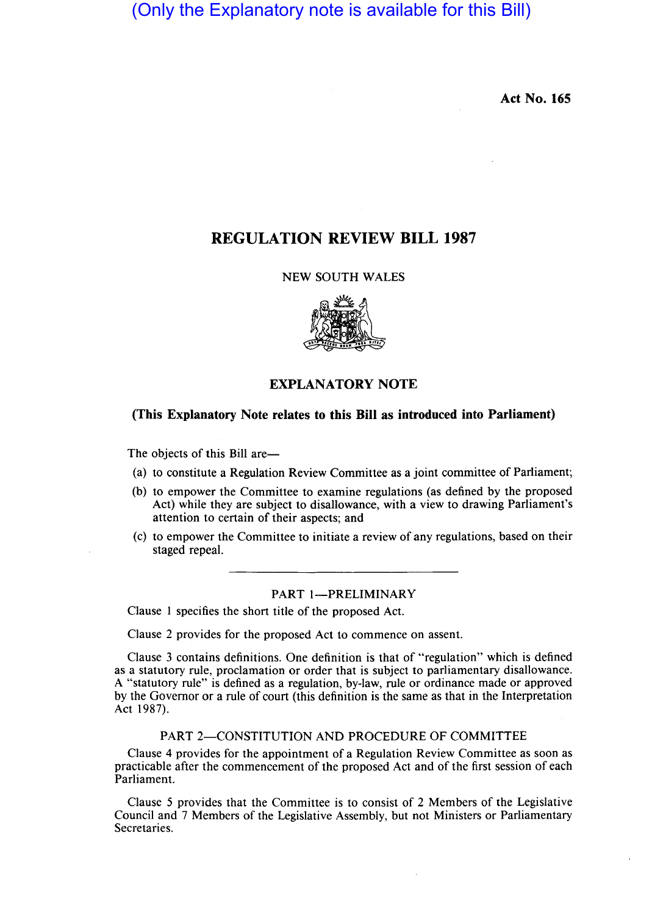## (Only the Explanatory note is available for this Bill)

**Act No. 165** 

## **REGULATION REVIEW BILL 1987**

#### NEW SOUTH WALES



### **EXPLANATORY NOTE**

#### **(This Explanatory Note relates to this Bill as introduced into Parliament)**

The objects of this Bill are-

- (a) to constitute a Regulation Review Committee as a joint committee of Parliament;
- (b) to empower the Committee to examine regulations (as defined by the proposed Act) while they are subject to disallowance, with a view to drawing Parliament's attention to certain of their aspects; and
- (c) to empower the Committee to initiate a review of any regulations, based on their staged repeal.

#### PART 1-PRELIMINARY

Clause I specifies the short title of the proposed Act.

Clause 2 provides for the proposed Act to commence on assent.

Clause 3 contains definitions. One definition is that of "regulation" which is defined as a statutory rule, proclamation or order that is subject to parliamentary disallowance. A "statutory rule" is defined as a regulation, by-law, rule or ordinance made or approved by the Governor or a rule of court (this definition is the same as that in the Interpretation Act 1987).

#### PART 2-CONSTITUTION AND PROCEDURE OF COMMITTEE

Clause 4 provides for the appointment of a Regulation Review Committee as soon as practicable after the commencement of the proposed Act and of the first session of each Parliament.

Clause 5 provides that the Committee is to consist of 2 Members of the Legislative Council and 7 Members of the Legislative Assembly, but not Ministers or Parliamentary Secretaries.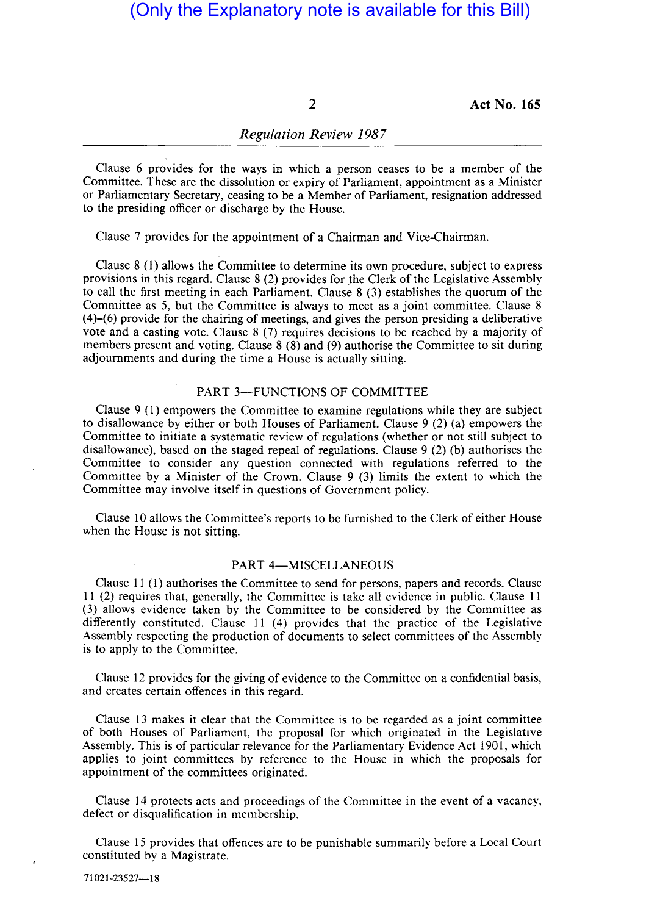2 **Act No. 165** 

#### *Regulation Review 1987*

Clause 6 provides for the ways in which a person ceases to be a member of the Committee. These are the dissolution or expiry of Parliament, appointment as a Minister or Parliamentary Secretary, ceasing to be a Member of Parliament, resignation addressed to the presiding officer or discharge by the House.

Clause 7 provides for the appointment of a Chairman and Vice-Chairman.

Clause 8 (1) allows the Committee to determine its own procedure, subject to express provisions in this regard. Clause  $8(2)$  provides for the Clerk of the Legislative Assembly to call the first meeting in each Parliament. Clause  $8$  (3) establishes the quorum of the Committee as 5, but the Committee is always to meet as a joint committee. Clause 8 (4)-(6) provide for the chairing of meetings, and gives the person presiding a deliberative vote and a casting vote. Clause 8 (7) requires decisions to be reached by a majority of members present and voting. Clause 8 (8) and (9) authorise the Committee to sit during adjournments and during the time a House is actually sitting.

#### PART 3-FUNCTIONS OF COMMITTEE

Clause 9 (1) empowers the Committee to examine regulations while they are subject to disallowance by either or both Houses of Parliament. Clause 9 (2) (a) empowers the Committee to initiate a systematic review of regulations (whether or not still subject to disallowance), based on the staged repeal of regulations. Clause 9 (2) (b) authorises the Committee to consider any question connected with regulations referred to the Committee by a Minister of the Crown. Clause 9 (3) limits the extent to which the Committee may involve itself in questions of Government policy.

Clause 10 allows the Committee's reports to be furnished to the Clerk of either House when the House is not sitting.

#### PART 4-MISCELLANEOUS

Clause 11 (1) authorises the Committee to send for persons, papers and records. Clause 11 (2) requires that, generally, the Committee is take all evidence in public. Clause 11 (3) allows evidence taken by the Committee to be considered by the Committee as differently constituted. Clause 11 (4) provides that the practice of the Legislative Assembly respecting the production of documents to select committees of the Assembly is to apply to the Committee.

Clause 12 provides for the giving of evidence to the Committee on a confidential basis, and creates certain offences in this regard.

Clause 13 makes it clear that the Committee is to be regarded as a joint committee of both Houses of Parliament, the proposal for which originated in the Legislative Assembly. This is of particular relevance for the Parliamentary Evidence Act 1901, which applies to joint committees by reference to the House in which the proposals for appointment of the committees originated.

Clause 14 protects acts and proceedings of the Committee in the event of a vacancy, defect or disqualification in membership.

Clause 15 provides that offences are to be punishable summarily before a Local Court constituted by a Magistrate.

71021-23527-18